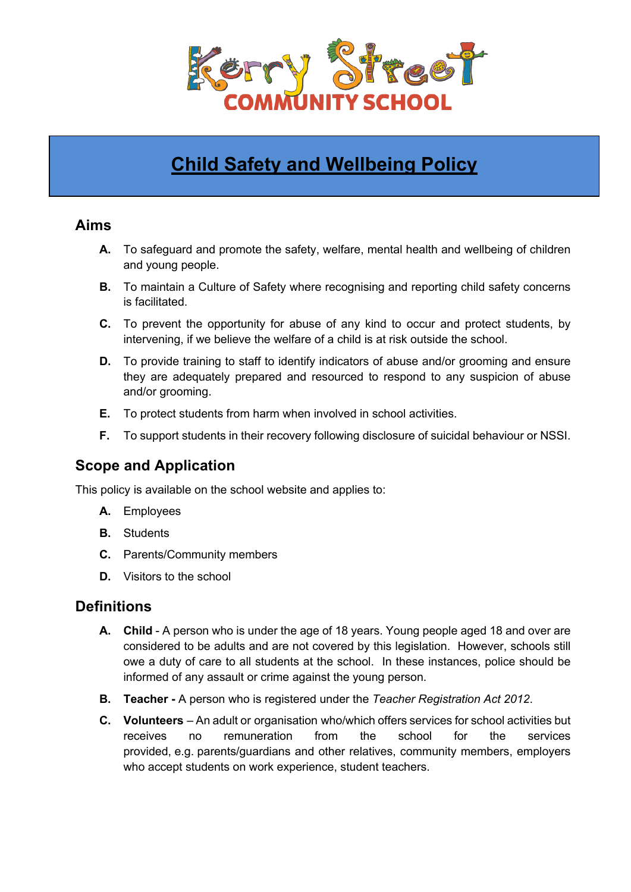

# **Child Safety and Wellbeing Policy**

## **Aims**

- **A.** To safeguard and promote the safety, welfare, mental health and wellbeing of children and young people.
- **B.** To maintain a Culture of Safety where recognising and reporting child safety concerns is facilitated.
- **C.** To prevent the opportunity for abuse of any kind to occur and protect students, by intervening, if we believe the welfare of a child is at risk outside the school.
- **D.** To provide training to staff to identify indicators of abuse and/or grooming and ensure they are adequately prepared and resourced to respond to any suspicion of abuse and/or grooming.
- **E.** To protect students from harm when involved in school activities.
- **F.** To support students in their recovery following disclosure of suicidal behaviour or NSSI.

## **Scope and Application**

This policy is available on the school website and applies to:

- **A.** Employees
- **B.** Students
- **C.** Parents/Community members
- **D.** Visitors to the school

### **Definitions**

- **A. Child** A person who is under the age of 18 years. Young people aged 18 and over are considered to be adults and are not covered by this legislation. However, schools still owe a duty of care to all students at the school. In these instances, police should be informed of any assault or crime against the young person.
- **B. Teacher -** A person who is registered under the *Teacher Registration Act 2012*.
- **C. Volunteers** An adult or organisation who/which offers services for school activities but receives no remuneration from the school for the services provided, e.g. parents/guardians and other relatives, community members, employers who accept students on work experience, student teachers.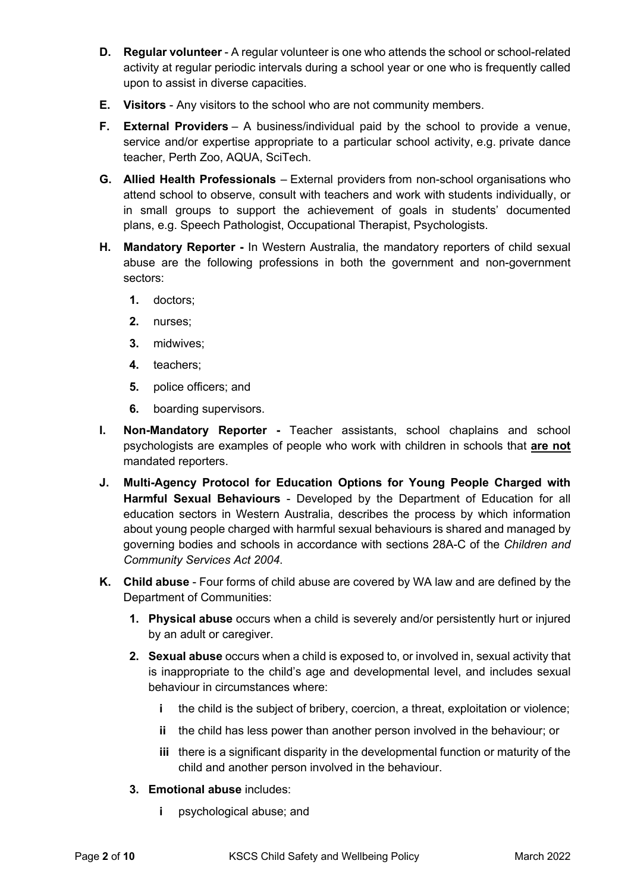- **D. Regular volunteer** A regular volunteer is one who attends the school or school-related activity at regular periodic intervals during a school year or one who is frequently called upon to assist in diverse capacities.
- **E. Visitors** Any visitors to the school who are not community members.
- **F. External Providers** A business/individual paid by the school to provide a venue, service and/or expertise appropriate to a particular school activity, e.g. private dance teacher, Perth Zoo, AQUA, SciTech.
- **G. Allied Health Professionals** *–* External providers from non-school organisations who attend school to observe, consult with teachers and work with students individually, or in small groups to support the achievement of goals in students' documented plans, e.g. Speech Pathologist, Occupational Therapist, Psychologists.
- **H. Mandatory Reporter -** In Western Australia, the mandatory reporters of child sexual abuse are the following professions in both the government and non-government sectors:
	- **1.** doctors;
	- **2.** nurses;
	- **3.** midwives;
	- **4.** teachers;
	- **5.** police officers; and
	- **6.** boarding supervisors.
- **I. Non-Mandatory Reporter -** Teacher assistants, school chaplains and school psychologists are examples of people who work with children in schools that **are not** mandated reporters.
- **J. Multi-Agency Protocol for Education Options for Young People Charged with Harmful Sexual Behaviours** - Developed by the Department of Education for all education sectors in Western Australia, describes the process by which information about young people charged with harmful sexual behaviours is shared and managed by governing bodies and schools in accordance with sections 28A-C of the *Children and Community Services Act 2004*.
- **K. Child abuse**  Four forms of child abuse are covered by WA law and are defined by the Department of Communities:
	- **1. Physical abuse** occurs when a child is severely and/or persistently hurt or injured by an adult or caregiver.
	- **2. Sexual abuse** occurs when a child is exposed to, or involved in, sexual activity that is inappropriate to the child's age and developmental level, and includes sexual behaviour in circumstances where:
		- **i** the child is the subject of bribery, coercion, a threat, exploitation or violence;
		- **ii** the child has less power than another person involved in the behaviour; or
		- **iii** there is a significant disparity in the developmental function or maturity of the child and another person involved in the behaviour.
	- **3. Emotional abuse** includes:
		- **i** psychological abuse; and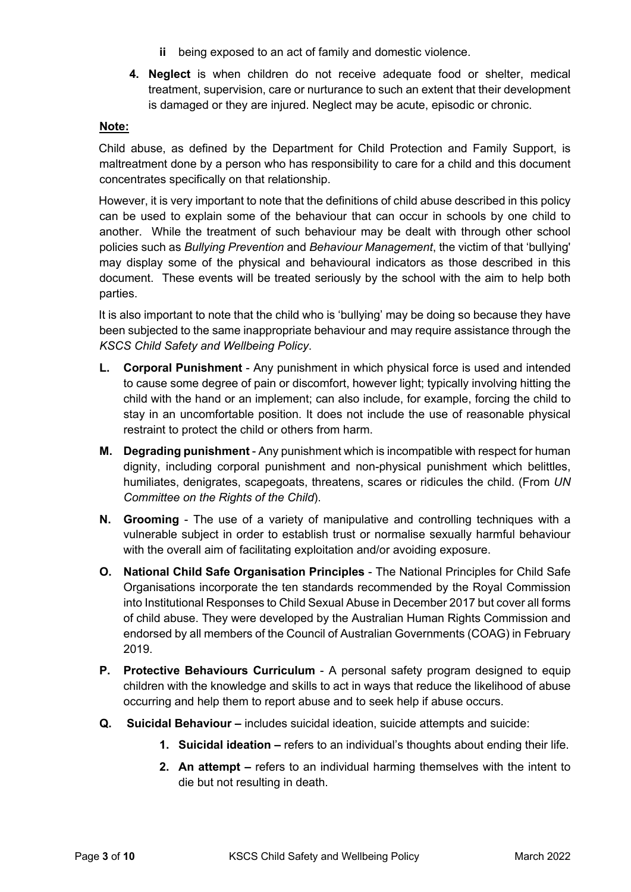- **ii** being exposed to an act of family and domestic violence.
- **4. Neglect** is when children do not receive adequate food or shelter, medical treatment, supervision, care or nurturance to such an extent that their development is damaged or they are injured. Neglect may be acute, episodic or chronic.

#### **Note:**

Child abuse, as defined by the Department for Child Protection and Family Support, is maltreatment done by a person who has responsibility to care for a child and this document concentrates specifically on that relationship.

However, it is very important to note that the definitions of child abuse described in this policy can be used to explain some of the behaviour that can occur in schools by one child to another. While the treatment of such behaviour may be dealt with through other school policies such as *Bullying Prevention* and *Behaviour Management*, the victim of that 'bullying' may display some of the physical and behavioural indicators as those described in this document. These events will be treated seriously by the school with the aim to help both parties.

It is also important to note that the child who is 'bullying' may be doing so because they have been subjected to the same inappropriate behaviour and may require assistance through the *KSCS Child Safety and Wellbeing Policy*.

- **L. Corporal Punishment** Any punishment in which physical force is used and intended to cause some degree of pain or discomfort, however light; typically involving hitting the child with the hand or an implement; can also include, for example, forcing the child to stay in an uncomfortable position. It does not include the use of reasonable physical restraint to protect the child or others from harm.
- **M. Degrading punishment** Any punishment which is incompatible with respect for human dignity, including corporal punishment and non-physical punishment which belittles, humiliates, denigrates, scapegoats, threatens, scares or ridicules the child. (From *UN Committee on the Rights of the Child*).
- **N. Grooming** The use of a variety of manipulative and controlling techniques with a vulnerable subject in order to establish trust or normalise sexually harmful behaviour with the overall aim of facilitating exploitation and/or avoiding exposure.
- **O. National Child Safe Organisation Principles** The National Principles for Child Safe Organisations incorporate the ten standards recommended by the Royal Commission into Institutional Responses to Child Sexual Abuse in December 2017 but cover all forms of child abuse. They were developed by the Australian Human Rights Commission and endorsed by all members of the Council of Australian Governments (COAG) in February 2019.
- **P. Protective Behaviours Curriculum**  A personal safety program designed to equip children with the knowledge and skills to act in ways that reduce the likelihood of abuse occurring and help them to report abuse and to seek help if abuse occurs.
- **Q. Suicidal Behaviour –** includes suicidal ideation, suicide attempts and suicide:
	- **1. Suicidal ideation –** refers to an individual's thoughts about ending their life.
	- **2. An attempt –** refers to an individual harming themselves with the intent to die but not resulting in death.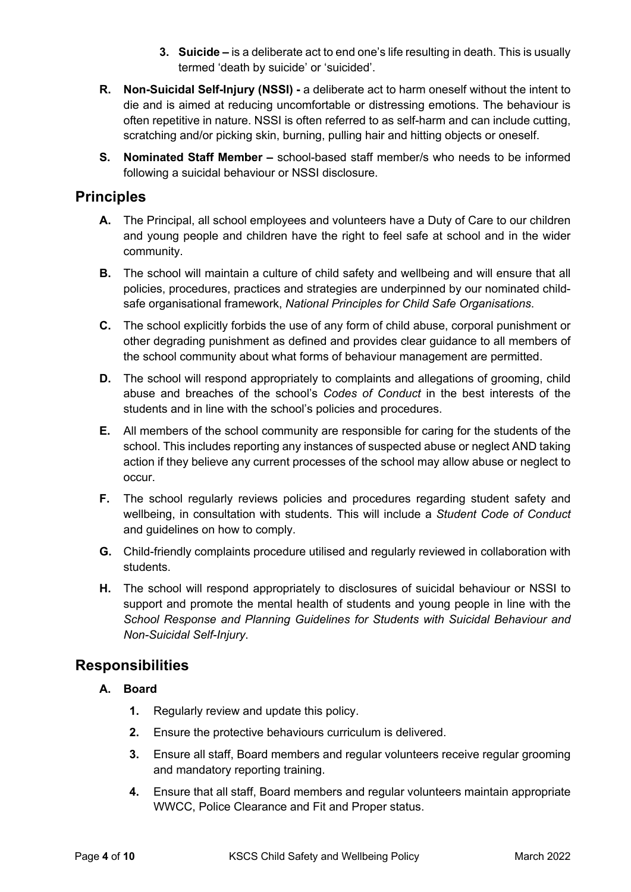- **3. Suicide –** is a deliberate act to end one's life resulting in death. This is usually termed 'death by suicide' or 'suicided'.
- **R. Non-Suicidal Self-Injury (NSSI) -** a deliberate act to harm oneself without the intent to die and is aimed at reducing uncomfortable or distressing emotions. The behaviour is often repetitive in nature. NSSI is often referred to as self-harm and can include cutting, scratching and/or picking skin, burning, pulling hair and hitting objects or oneself.
- **S. Nominated Staff Member –** school-based staff member/s who needs to be informed following a suicidal behaviour or NSSI disclosure.

## **Principles**

- **A.** The Principal, all school employees and volunteers have a Duty of Care to our children and young people and children have the right to feel safe at school and in the wider community.
- **B.** The school will maintain a culture of child safety and wellbeing and will ensure that all policies, procedures, practices and strategies are underpinned by our nominated childsafe organisational framework, *National Principles for Child Safe Organisations*.
- **C.** The school explicitly forbids the use of any form of child abuse, corporal punishment or other degrading punishment as defined and provides clear guidance to all members of the school community about what forms of behaviour management are permitted.
- **D.** The school will respond appropriately to complaints and allegations of grooming, child abuse and breaches of the school's *Codes of Conduct* in the best interests of the students and in line with the school's policies and procedures.
- **E.** All members of the school community are responsible for caring for the students of the school. This includes reporting any instances of suspected abuse or neglect AND taking action if they believe any current processes of the school may allow abuse or neglect to occur.
- **F.** The school regularly reviews policies and procedures regarding student safety and wellbeing, in consultation with students. This will include a *Student Code of Conduct* and guidelines on how to comply.
- **G.** Child-friendly complaints procedure utilised and regularly reviewed in collaboration with students.
- **H.** The school will respond appropriately to disclosures of suicidal behaviour or NSSI to support and promote the mental health of students and young people in line with the *School Response and Planning Guidelines for Students with Suicidal Behaviour and Non-Suicidal Self-Injury*.

## **Responsibilities**

- **A. Board**
	- **1.** Regularly review and update this policy.
	- **2.** Ensure the protective behaviours curriculum is delivered.
	- **3.** Ensure all staff, Board members and regular volunteers receive regular grooming and mandatory reporting training.
	- **4.** Ensure that all staff, Board members and regular volunteers maintain appropriate WWCC, Police Clearance and Fit and Proper status.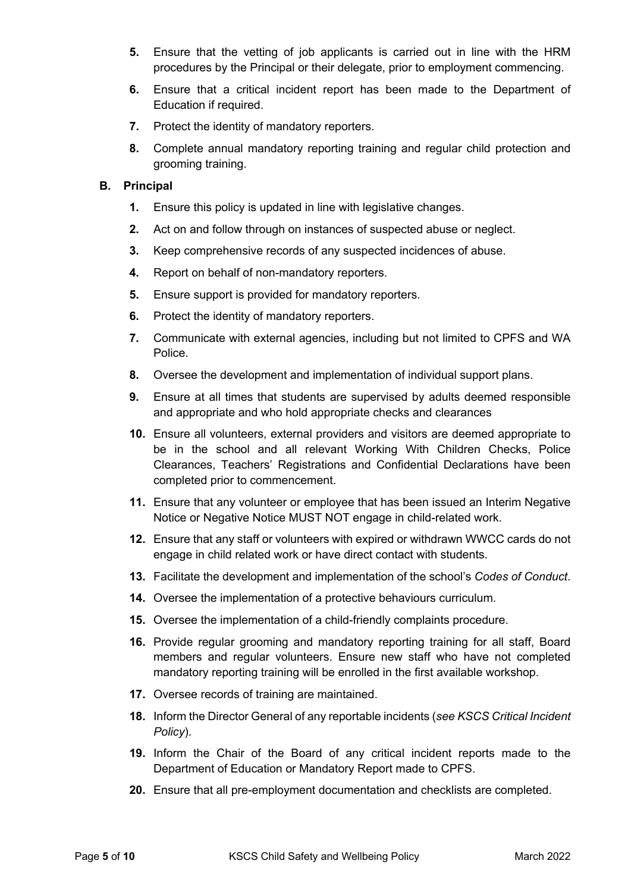- **5.** Ensure that the vetting of job applicants is carried out in line with the HRM procedures by the Principal or their delegate, prior to employment commencing.
- **6.** Ensure that a critical incident report has been made to the Department of Education if required.
- **7.** Protect the identity of mandatory reporters.
- **8.** Complete annual mandatory reporting training and regular child protection and grooming training.

#### **B. Principal**

- **1.** Ensure this policy is updated in line with legislative changes.
- **2.** Act on and follow through on instances of suspected abuse or neglect.
- **3.** Keep comprehensive records of any suspected incidences of abuse.
- **4.** Report on behalf of non-mandatory reporters.
- **5.** Ensure support is provided for mandatory reporters.
- **6.** Protect the identity of mandatory reporters.
- **7.** Communicate with external agencies, including but not limited to CPFS and WA Police.
- **8.** Oversee the development and implementation of individual support plans.
- **9.** Ensure at all times that students are supervised by adults deemed responsible and appropriate and who hold appropriate checks and clearances
- **10.** Ensure all volunteers, external providers and visitors are deemed appropriate to be in the school and all relevant Working With Children Checks, Police Clearances, Teachers' Registrations and Confidential Declarations have been completed prior to commencement.
- **11.** Ensure that any volunteer or employee that has been issued an Interim Negative Notice or Negative Notice MUST NOT engage in child-related work.
- **12.** Ensure that any staff or volunteers with expired or withdrawn WWCC cards do not engage in child related work or have direct contact with students.
- **13.** Facilitate the development and implementation of the school's *Codes of Conduct*.
- **14.** Oversee the implementation of a protective behaviours curriculum.
- **15.** Oversee the implementation of a child-friendly complaints procedure.
- **16.** Provide regular grooming and mandatory reporting training for all staff, Board members and regular volunteers. Ensure new staff who have not completed mandatory reporting training will be enrolled in the first available workshop.
- **17.** Oversee records of training are maintained.
- **18.** Inform the Director General of any reportable incidents (*see KSCS Critical Incident Policy*).
- **19.** Inform the Chair of the Board of any critical incident reports made to the Department of Education or Mandatory Report made to CPFS.
- **20.** Ensure that all pre-employment documentation and checklists are completed.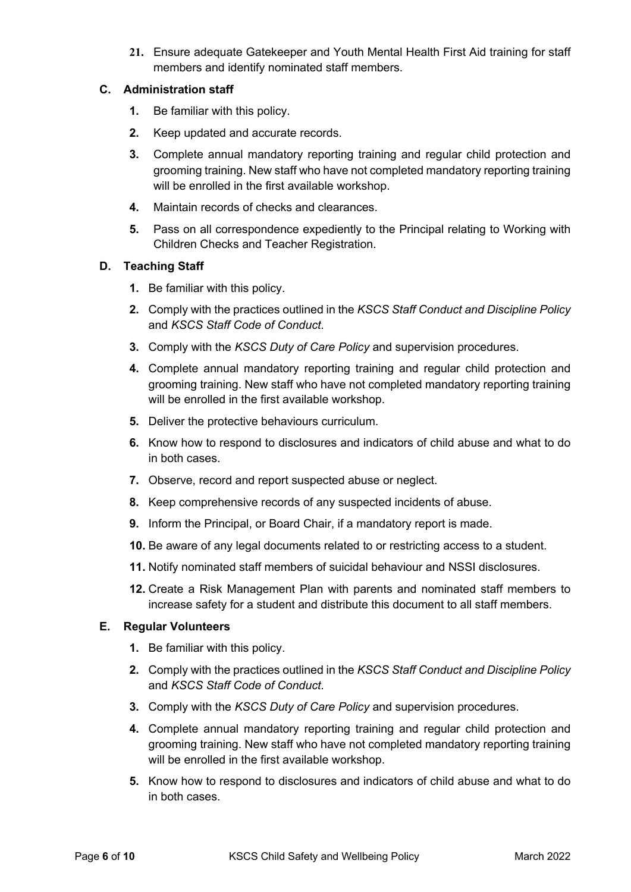**21.** Ensure adequate Gatekeeper and Youth Mental Health First Aid training for staff members and identify nominated staff members.

#### **C. Administration staff**

- **1.** Be familiar with this policy.
- **2.** Keep updated and accurate records.
- **3.** Complete annual mandatory reporting training and regular child protection and grooming training. New staff who have not completed mandatory reporting training will be enrolled in the first available workshop.
- **4.** Maintain records of checks and clearances.
- **5.** Pass on all correspondence expediently to the Principal relating to Working with Children Checks and Teacher Registration.

#### **D. Teaching Staff**

- **1.** Be familiar with this policy.
- **2.** Comply with the practices outlined in the *KSCS Staff Conduct and Discipline Policy* and *KSCS Staff Code of Conduct*.
- **3.** Comply with the *KSCS Duty of Care Policy* and supervision procedures.
- **4.** Complete annual mandatory reporting training and regular child protection and grooming training. New staff who have not completed mandatory reporting training will be enrolled in the first available workshop.
- **5.** Deliver the protective behaviours curriculum.
- **6.** Know how to respond to disclosures and indicators of child abuse and what to do in both cases.
- **7.** Observe, record and report suspected abuse or neglect.
- **8.** Keep comprehensive records of any suspected incidents of abuse.
- **9.** Inform the Principal, or Board Chair, if a mandatory report is made.
- **10.** Be aware of any legal documents related to or restricting access to a student.
- **11.** Notify nominated staff members of suicidal behaviour and NSSI disclosures.
- **12.** Create a Risk Management Plan with parents and nominated staff members to increase safety for a student and distribute this document to all staff members.

#### **E. Regular Volunteers**

- **1.** Be familiar with this policy.
- **2.** Comply with the practices outlined in the *KSCS Staff Conduct and Discipline Policy* and *KSCS Staff Code of Conduct*.
- **3.** Comply with the *KSCS Duty of Care Policy* and supervision procedures.
- **4.** Complete annual mandatory reporting training and regular child protection and grooming training. New staff who have not completed mandatory reporting training will be enrolled in the first available workshop.
- **5.** Know how to respond to disclosures and indicators of child abuse and what to do in both cases.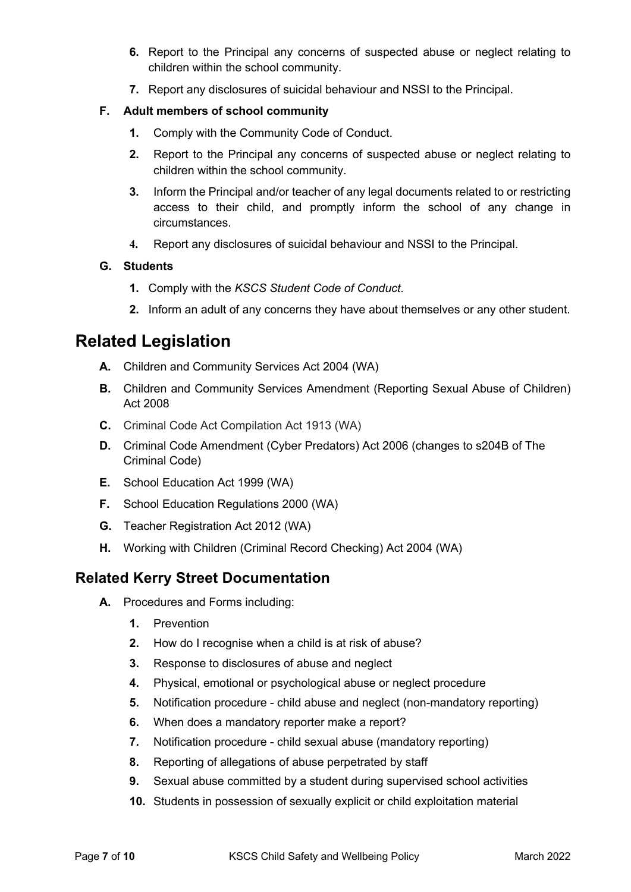- **6.** Report to the Principal any concerns of suspected abuse or neglect relating to children within the school community.
- **7.** Report any disclosures of suicidal behaviour and NSSI to the Principal.

#### **F. Adult members of school community**

- **1.** Comply with the Community Code of Conduct.
- **2.** Report to the Principal any concerns of suspected abuse or neglect relating to children within the school community.
- **3.** Inform the Principal and/or teacher of any legal documents related to or restricting access to their child, and promptly inform the school of any change in circumstances.
- **4.** Report any disclosures of suicidal behaviour and NSSI to the Principal.

#### **G. Students**

- **1.** Comply with the *KSCS Student Code of Conduct*.
- **2.** Inform an adult of any concerns they have about themselves or any other student.

## **Related Legislation**

- **A.** Children and Community Services Act 2004 (WA)
- **B.** Children and Community Services Amendment (Reporting Sexual Abuse of Children) Act 2008
- **C.** Criminal Code Act Compilation Act 1913 (WA)
- **D.** Criminal Code Amendment (Cyber Predators) Act 2006 (changes to s204B of The Criminal Code)
- **E.** School Education Act 1999 (WA)
- **F.** School Education Regulations 2000 (WA)
- **G.** Teacher Registration Act 2012 (WA)
- **H.** Working with Children (Criminal Record Checking) Act 2004 (WA)

## **Related Kerry Street Documentation**

- **A.** Procedures and Forms including:
	- **1.** Prevention
	- **2.** How do I recognise when a child is at risk of abuse?
	- **3.** Response to disclosures of abuse and neglect
	- **4.** Physical, emotional or psychological abuse or neglect procedure
	- **5.** Notification procedure child abuse and neglect (non-mandatory reporting)
	- **6.** When does a mandatory reporter make a report?
	- **7.** Notification procedure child sexual abuse (mandatory reporting)
	- **8.** Reporting of allegations of abuse perpetrated by staff
	- **9.** Sexual abuse committed by a student during supervised school activities
	- **10.** Students in possession of sexually explicit or child exploitation material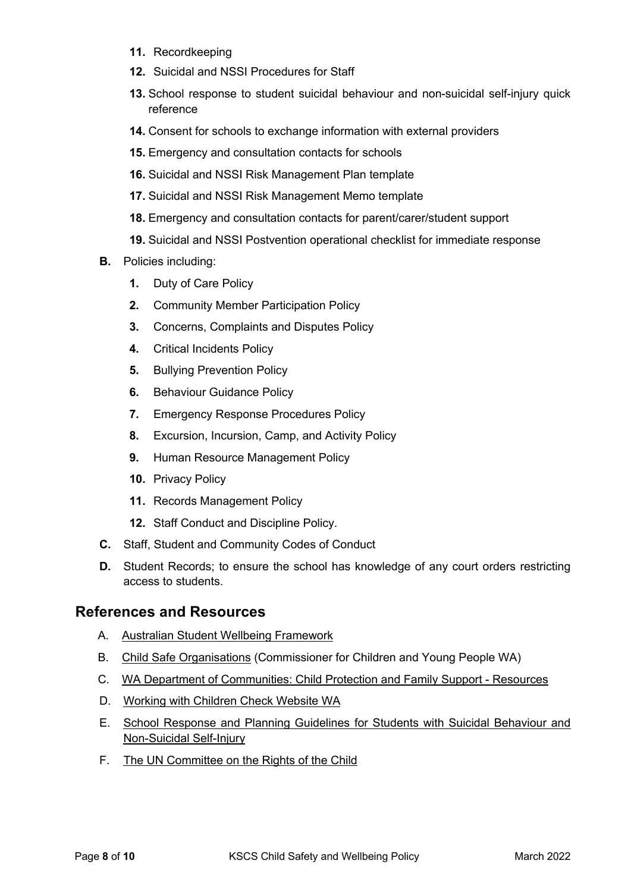- **11.** Recordkeeping
- **12.** Suicidal and NSSI Procedures for Staff
- **13.** School response to student suicidal behaviour and non-suicidal self-injury quick reference
- **14.** Consent for schools to exchange information with external providers
- **15.** Emergency and consultation contacts for schools
- **16.** Suicidal and NSSI Risk Management Plan template
- **17.** Suicidal and NSSI Risk Management Memo template
- **18.** Emergency and consultation contacts for parent/carer/student support
- **19.** Suicidal and NSSI Postvention operational checklist for immediate response
- **B.** Policies including:
	- **1.** Duty of Care Policy
	- **2.** Community Member Participation Policy
	- **3.** Concerns, Complaints and Disputes Policy
	- **4.** Critical Incidents Policy
	- **5.** Bullying Prevention Policy
	- **6.** Behaviour Guidance Policy
	- **7.** Emergency Response Procedures Policy
	- **8.** Excursion, Incursion, Camp, and Activity Policy
	- **9.** Human Resource Management Policy
	- **10.** Privacy Policy
	- **11.** Records Management Policy
	- **12.** Staff Conduct and Discipline Policy.
- **C.** Staff, Student and Community Codes of Conduct
- **D.** Student Records; to ensure the school has knowledge of any court orders restricting access to students.

### **References and Resources**

- A. Australian Student Wellbeing Framework
- B. Child Safe Organisations (Commissioner for Children and Young People WA)
- C. WA Department of Communities: Child Protection and Family Support Resources
- D. Working with Children Check Website WA
- E. School Response and Planning Guidelines for Students with Suicidal Behaviour and Non-Suicidal Self-Injury
- F. The UN Committee on the Rights of the Child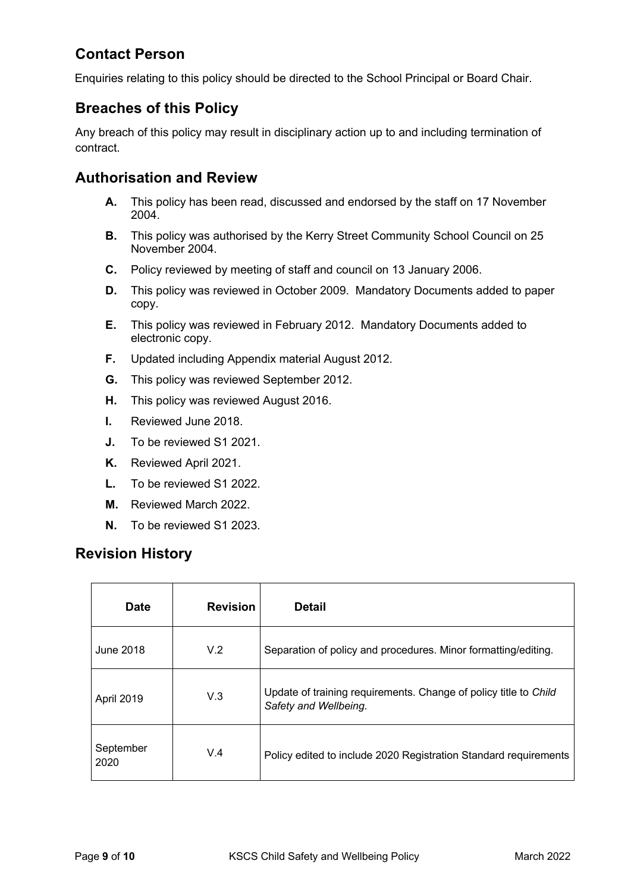## **Contact Person**

Enquiries relating to this policy should be directed to the School Principal or Board Chair.

## **Breaches of this Policy**

Any breach of this policy may result in disciplinary action up to and including termination of contract.

## **Authorisation and Review**

- **A.** This policy has been read, discussed and endorsed by the staff on 17 November 2004.
- **B.** This policy was authorised by the Kerry Street Community School Council on 25 November 2004.
- **C.** Policy reviewed by meeting of staff and council on 13 January 2006.
- **D.** This policy was reviewed in October 2009. Mandatory Documents added to paper copy.
- **E.** This policy was reviewed in February 2012. Mandatory Documents added to electronic copy.
- **F.** Updated including Appendix material August 2012.
- **G.** This policy was reviewed September 2012.
- **H.** This policy was reviewed August 2016.
- **I.** Reviewed June 2018.
- **J.** To be reviewed S1 2021.
- **K.** Reviewed April 2021.
- **L.** To be reviewed S1 2022.
- **M.** Reviewed March 2022.
- **N.** To be reviewed S1 2023.

## **Revision History**

| <b>Date</b>       | <b>Revision</b> | <b>Detail</b>                                                                             |
|-------------------|-----------------|-------------------------------------------------------------------------------------------|
| June 2018         | V.2             | Separation of policy and procedures. Minor formatting/editing.                            |
| April 2019        | V.3             | Update of training requirements. Change of policy title to Child<br>Safety and Wellbeing. |
| September<br>2020 | V.4             | Policy edited to include 2020 Registration Standard requirements                          |